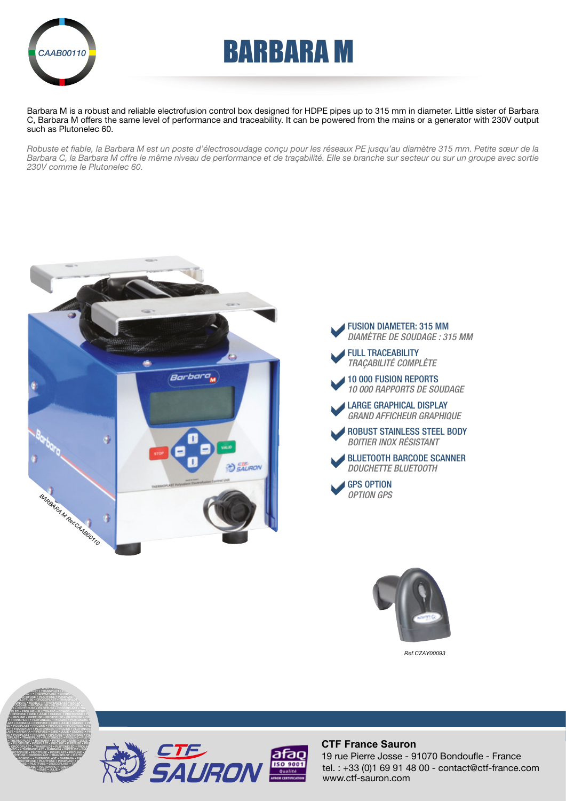

# AAB00110**N BARBARA M**

Barbara M is a robust and reliable electrofusion control box designed for HDPE pipes up to 315 mm in diameter. Little sister of Barbara C, Barbara M offers the same level of performance and traceability. It can be powered from the mains or a generator with 230V output such as Plutonelec 60.

*Robuste et fiable, la Barbara M est un poste d'électrosoudage conçu pour les réseaux PE jusqu'au diamètre 315 mm. Petite sœur de la*  Barbara C, la Barbara M offre le même niveau de performance et de traçabilité. Elle se branche sur secteur ou sur un groupe avec sortie *230V comme le Plutonelec 60.*







*Ref.CZAY00093*



PROLINE • PIPEFUSE • PROTOFUSE • PILOTFUSE • CROCOPLAST • TRANSPILOT •

#### **CTF France Sauron**

tel. : +33 (0)1 69 91 48 00 - contact@ctf-france.com www.ctf-sauron.com 19 rue Pierre Josse - 91070 Bondoufle - France